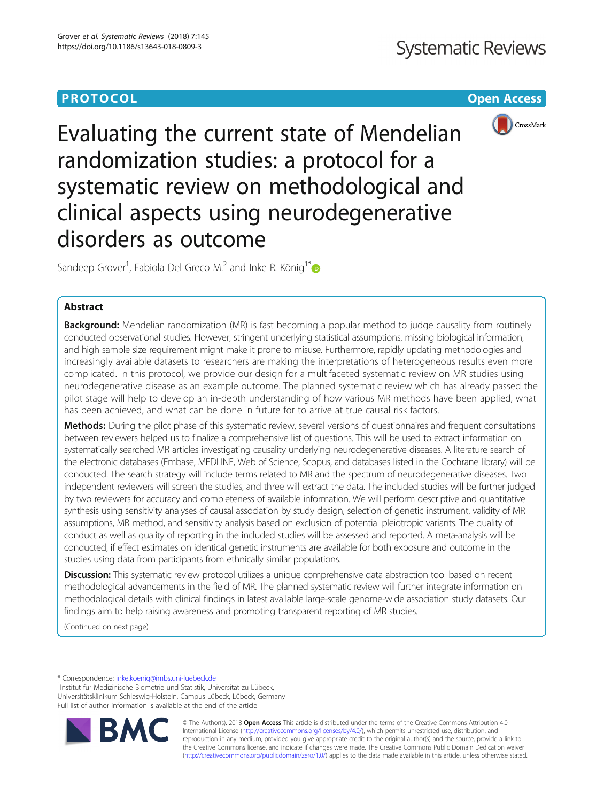**PROTOCOL CONSUMING THE CONSUMING TEACHER CONSUMING THE CONSUMING TEACHER CONSUMING THE CONSUMING TEACHER CONSUMING THE CONSUMING TEACHER CONSUMING THE CONSUMING THE CONSUMING TEACHER CONSUMING THE CONSUMING THE CONSUMIN** 



Evaluating the current state of Mendelian randomization studies: a protocol for a systematic review on methodological and clinical aspects using neurodegenerative disorders as outcome

Sandeep Grover<sup>1</sup>, Fabiola Del Greco M.<sup>2</sup> and Inke R. König<sup>1[\\*](http://orcid.org/0000-0003-0504-6465)</sup>

# Abstract

**Background:** Mendelian randomization (MR) is fast becoming a popular method to judge causality from routinely conducted observational studies. However, stringent underlying statistical assumptions, missing biological information, and high sample size requirement might make it prone to misuse. Furthermore, rapidly updating methodologies and increasingly available datasets to researchers are making the interpretations of heterogeneous results even more complicated. In this protocol, we provide our design for a multifaceted systematic review on MR studies using neurodegenerative disease as an example outcome. The planned systematic review which has already passed the pilot stage will help to develop an in-depth understanding of how various MR methods have been applied, what has been achieved, and what can be done in future for to arrive at true causal risk factors.

Methods: During the pilot phase of this systematic review, several versions of questionnaires and frequent consultations between reviewers helped us to finalize a comprehensive list of questions. This will be used to extract information on systematically searched MR articles investigating causality underlying neurodegenerative diseases. A literature search of the electronic databases (Embase, MEDLINE, Web of Science, Scopus, and databases listed in the Cochrane library) will be conducted. The search strategy will include terms related to MR and the spectrum of neurodegenerative diseases. Two independent reviewers will screen the studies, and three will extract the data. The included studies will be further judged by two reviewers for accuracy and completeness of available information. We will perform descriptive and quantitative synthesis using sensitivity analyses of causal association by study design, selection of genetic instrument, validity of MR assumptions, MR method, and sensitivity analysis based on exclusion of potential pleiotropic variants. The quality of conduct as well as quality of reporting in the included studies will be assessed and reported. A meta-analysis will be conducted, if effect estimates on identical genetic instruments are available for both exposure and outcome in the studies using data from participants from ethnically similar populations.

Discussion: This systematic review protocol utilizes a unique comprehensive data abstraction tool based on recent methodological advancements in the field of MR. The planned systematic review will further integrate information on methodological details with clinical findings in latest available large-scale genome-wide association study datasets. Our findings aim to help raising awareness and promoting transparent reporting of MR studies.

(Continued on next page)

\* Correspondence: [inke.koenig@imbs.uni-luebeck.de](mailto:inke.koenig@imbs.uni-luebeck.de) <sup>1</sup>

<sup>1</sup>Institut für Medizinische Biometrie und Statistik, Universität zu Lübeck, Universitätsklinikum Schleswig-Holstein, Campus Lübeck, Lübeck, Germany Full list of author information is available at the end of the article



© The Author(s). 2018 Open Access This article is distributed under the terms of the Creative Commons Attribution 4.0 International License [\(http://creativecommons.org/licenses/by/4.0/](http://creativecommons.org/licenses/by/4.0/)), which permits unrestricted use, distribution, and reproduction in any medium, provided you give appropriate credit to the original author(s) and the source, provide a link to the Creative Commons license, and indicate if changes were made. The Creative Commons Public Domain Dedication waiver [\(http://creativecommons.org/publicdomain/zero/1.0/](http://creativecommons.org/publicdomain/zero/1.0/)) applies to the data made available in this article, unless otherwise stated.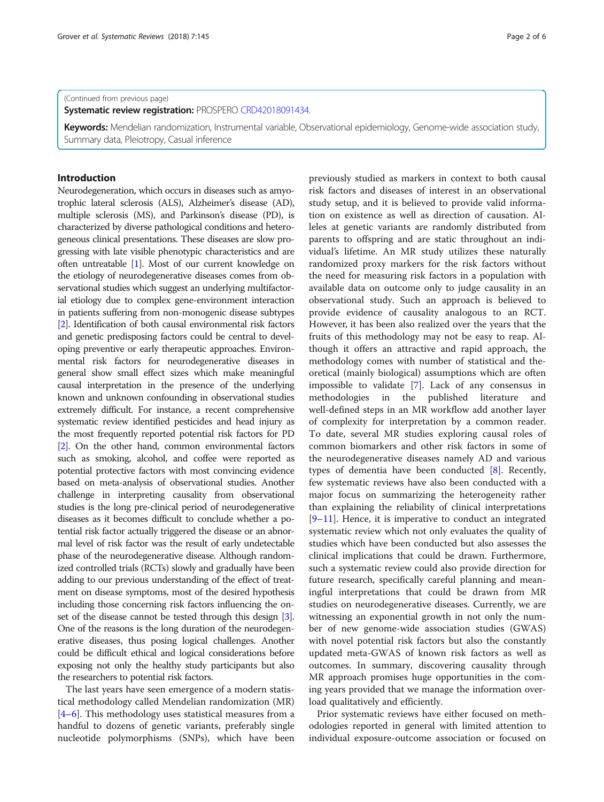### (Continued from previous page)

Systematic review registration: PROSPERO [CRD42018091434.](https://www.crd.york.ac.uk/prospero/display_record.php?RecordID=91434)

Keywords: Mendelian randomization, Instrumental variable, Observational epidemiology, Genome-wide association study, Summary data, Pleiotropy, Casual inference

## Introduction

Neurodegeneration, which occurs in diseases such as amyotrophic lateral sclerosis (ALS), Alzheimer's disease (AD), multiple sclerosis (MS), and Parkinson's disease (PD), is characterized by diverse pathological conditions and heterogeneous clinical presentations. These diseases are slow progressing with late visible phenotypic characteristics and are often untreatable [\[1\]](#page-5-0). Most of our current knowledge on the etiology of neurodegenerative diseases comes from observational studies which suggest an underlying multifactorial etiology due to complex gene-environment interaction in patients suffering from non-monogenic disease subtypes [[2](#page-5-0)]. Identification of both causal environmental risk factors and genetic predisposing factors could be central to developing preventive or early therapeutic approaches. Environmental risk factors for neurodegenerative diseases in general show small effect sizes which make meaningful causal interpretation in the presence of the underlying known and unknown confounding in observational studies extremely difficult. For instance, a recent comprehensive systematic review identified pesticides and head injury as the most frequently reported potential risk factors for PD [[2](#page-5-0)]. On the other hand, common environmental factors such as smoking, alcohol, and coffee were reported as potential protective factors with most convincing evidence based on meta-analysis of observational studies. Another challenge in interpreting causality from observational studies is the long pre-clinical period of neurodegenerative diseases as it becomes difficult to conclude whether a potential risk factor actually triggered the disease or an abnormal level of risk factor was the result of early undetectable phase of the neurodegenerative disease. Although randomized controlled trials (RCTs) slowly and gradually have been adding to our previous understanding of the effect of treatment on disease symptoms, most of the desired hypothesis including those concerning risk factors influencing the on-set of the disease cannot be tested through this design [[3](#page-5-0)]. One of the reasons is the long duration of the neurodegenerative diseases, thus posing logical challenges. Another could be difficult ethical and logical considerations before exposing not only the healthy study participants but also the researchers to potential risk factors.

The last years have seen emergence of a modern statistical methodology called Mendelian randomization (MR) [[4](#page-5-0)–[6\]](#page-5-0). This methodology uses statistical measures from a handful to dozens of genetic variants, preferably single nucleotide polymorphisms (SNPs), which have been previously studied as markers in context to both causal risk factors and diseases of interest in an observational study setup, and it is believed to provide valid information on existence as well as direction of causation. Alleles at genetic variants are randomly distributed from parents to offspring and are static throughout an individual's lifetime. An MR study utilizes these naturally randomized proxy markers for the risk factors without the need for measuring risk factors in a population with available data on outcome only to judge causality in an observational study. Such an approach is believed to provide evidence of causality analogous to an RCT. However, it has been also realized over the years that the fruits of this methodology may not be easy to reap. Although it offers an attractive and rapid approach, the methodology comes with number of statistical and theoretical (mainly biological) assumptions which are often impossible to validate [\[7](#page-5-0)]. Lack of any consensus in methodologies in the published literature and well-defined steps in an MR workflow add another layer of complexity for interpretation by a common reader. To date, several MR studies exploring causal roles of common biomarkers and other risk factors in some of the neurodegenerative diseases namely AD and various types of dementia have been conducted [\[8](#page-5-0)]. Recently, few systematic reviews have also been conducted with a major focus on summarizing the heterogeneity rather than explaining the reliability of clinical interpretations [[9](#page-5-0)–[11\]](#page-5-0). Hence, it is imperative to conduct an integrated systematic review which not only evaluates the quality of studies which have been conducted but also assesses the clinical implications that could be drawn. Furthermore, such a systematic review could also provide direction for future research, specifically careful planning and meaningful interpretations that could be drawn from MR studies on neurodegenerative diseases. Currently, we are witnessing an exponential growth in not only the number of new genome-wide association studies (GWAS) with novel potential risk factors but also the constantly updated meta-GWAS of known risk factors as well as outcomes. In summary, discovering causality through MR approach promises huge opportunities in the coming years provided that we manage the information overload qualitatively and efficiently.

Prior systematic reviews have either focused on methodologies reported in general with limited attention to individual exposure-outcome association or focused on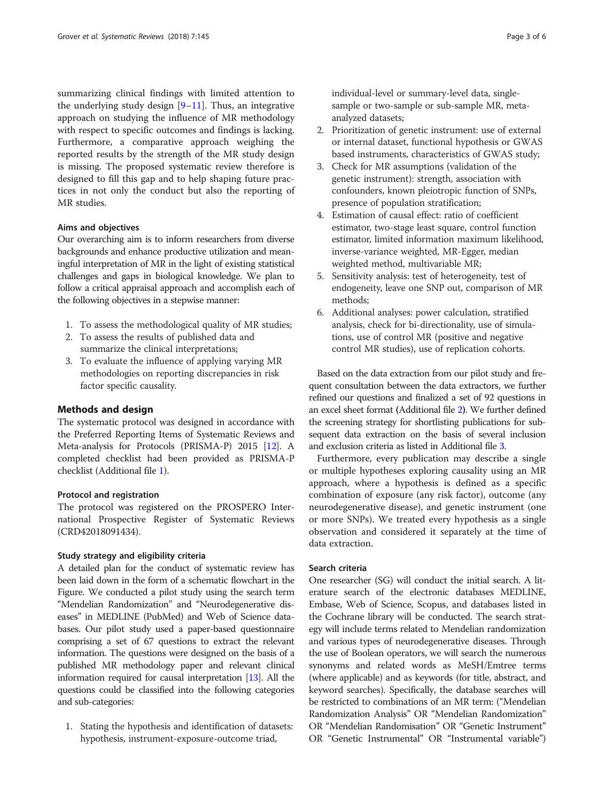summarizing clinical findings with limited attention to the underlying study design [\[9](#page-5-0)–[11\]](#page-5-0). Thus, an integrative approach on studying the influence of MR methodology with respect to specific outcomes and findings is lacking. Furthermore, a comparative approach weighing the reported results by the strength of the MR study design is missing. The proposed systematic review therefore is designed to fill this gap and to help shaping future practices in not only the conduct but also the reporting of MR studies.

## Aims and objectives

Our overarching aim is to inform researchers from diverse backgrounds and enhance productive utilization and meaningful interpretation of MR in the light of existing statistical challenges and gaps in biological knowledge. We plan to follow a critical appraisal approach and accomplish each of the following objectives in a stepwise manner:

- 1. To assess the methodological quality of MR studies;
- 2. To assess the results of published data and summarize the clinical interpretations;
- 3. To evaluate the influence of applying varying MR methodologies on reporting discrepancies in risk factor specific causality.

## Methods and design

The systematic protocol was designed in accordance with the Preferred Reporting Items of Systematic Reviews and Meta-analysis for Protocols (PRISMA-P) 2015 [\[12\]](#page-5-0). A completed checklist had been provided as PRISMA-P checklist (Additional file [1\)](#page-4-0).

## Protocol and registration

The protocol was registered on the PROSPERO International Prospective Register of Systematic Reviews (CRD42018091434).

## Study strategy and eligibility criteria

A detailed plan for the conduct of systematic review has been laid down in the form of a schematic flowchart in the Figure. We conducted a pilot study using the search term "Mendelian Randomization" and "Neurodegenerative diseases" in MEDLINE (PubMed) and Web of Science databases. Our pilot study used a paper-based questionnaire comprising a set of 67 questions to extract the relevant information. The questions were designed on the basis of a published MR methodology paper and relevant clinical information required for causal interpretation [\[13\]](#page-5-0). All the questions could be classified into the following categories and sub-categories:

1. Stating the hypothesis and identification of datasets: hypothesis, instrument-exposure-outcome triad,

- 2. Prioritization of genetic instrument: use of external or internal dataset, functional hypothesis or GWAS based instruments, characteristics of GWAS study;
- 3. Check for MR assumptions (validation of the genetic instrument): strength, association with confounders, known pleiotropic function of SNPs, presence of population stratification;
- 4. Estimation of causal effect: ratio of coefficient estimator, two-stage least square, control function estimator, limited information maximum likelihood, inverse-variance weighted, MR-Egger, median weighted method, multivariable MR;
- 5. Sensitivity analysis: test of heterogeneity, test of endogeneity, leave one SNP out, comparison of MR methods;
- 6. Additional analyses: power calculation, stratified analysis, check for bi-directionality, use of simulations, use of control MR (positive and negative control MR studies), use of replication cohorts.

Based on the data extraction from our pilot study and frequent consultation between the data extractors, we further refined our questions and finalized a set of 92 questions in an excel sheet format (Additional file [2](#page-4-0)). We further defined the screening strategy for shortlisting publications for subsequent data extraction on the basis of several inclusion and exclusion criteria as listed in Additional file [3](#page-4-0).

Furthermore, every publication may describe a single or multiple hypotheses exploring causality using an MR approach, where a hypothesis is defined as a specific combination of exposure (any risk factor), outcome (any neurodegenerative disease), and genetic instrument (one or more SNPs). We treated every hypothesis as a single observation and considered it separately at the time of data extraction.

## Search criteria

One researcher (SG) will conduct the initial search. A literature search of the electronic databases MEDLINE, Embase, Web of Science, Scopus, and databases listed in the Cochrane library will be conducted. The search strategy will include terms related to Mendelian randomization and various types of neurodegenerative diseases. Through the use of Boolean operators, we will search the numerous synonyms and related words as MeSH/Emtree terms (where applicable) and as keywords (for title, abstract, and keyword searches). Specifically, the database searches will be restricted to combinations of an MR term: ("Mendelian Randomization Analysis" OR "Mendelian Randomization" OR "Mendelian Randomisation" OR "Genetic Instrument" OR "Genetic Instrumental" OR "Instrumental variable")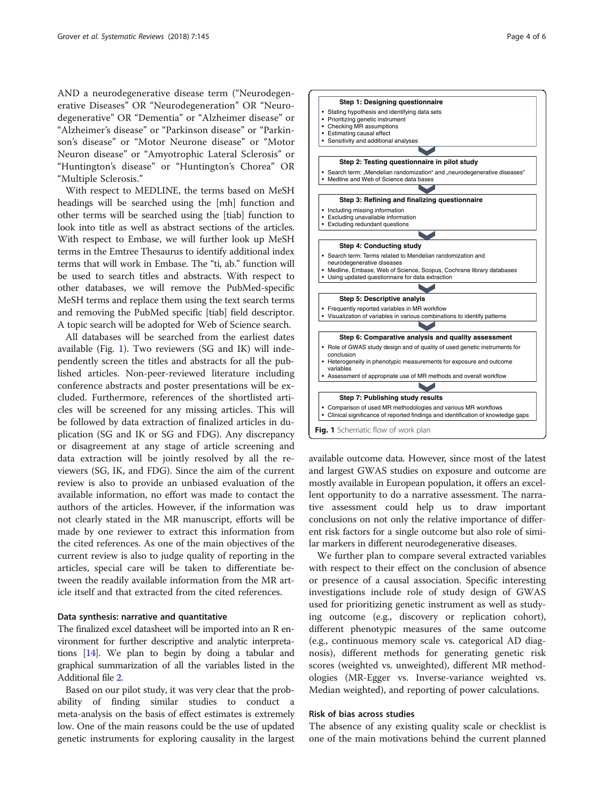<span id="page-3-0"></span>AND a neurodegenerative disease term ("Neurodegenerative Diseases" OR "Neurodegeneration" OR "Neurodegenerative" OR "Dementia" or "Alzheimer disease" or "Alzheimer's disease" or "Parkinson disease" or "Parkinson's disease" or "Motor Neurone disease" or "Motor Neuron disease" or "Amyotrophic Lateral Sclerosis" or "Huntington's disease" or "Huntington's Chorea" OR "Multiple Sclerosis."

With respect to MEDLINE, the terms based on MeSH headings will be searched using the [mh] function and other terms will be searched using the [tiab] function to look into title as well as abstract sections of the articles. With respect to Embase, we will further look up MeSH terms in the Emtree Thesaurus to identify additional index terms that will work in Embase. The "ti, ab." function will be used to search titles and abstracts. With respect to other databases, we will remove the PubMed-specific MeSH terms and replace them using the text search terms and removing the PubMed specific [tiab] field descriptor. A topic search will be adopted for Web of Science search.

All databases will be searched from the earliest dates available (Fig. 1). Two reviewers (SG and IK) will independently screen the titles and abstracts for all the published articles. Non-peer-reviewed literature including conference abstracts and poster presentations will be excluded. Furthermore, references of the shortlisted articles will be screened for any missing articles. This will be followed by data extraction of finalized articles in duplication (SG and IK or SG and FDG). Any discrepancy or disagreement at any stage of article screening and data extraction will be jointly resolved by all the reviewers (SG, IK, and FDG). Since the aim of the current review is also to provide an unbiased evaluation of the available information, no effort was made to contact the authors of the articles. However, if the information was not clearly stated in the MR manuscript, efforts will be made by one reviewer to extract this information from the cited references. As one of the main objectives of the current review is also to judge quality of reporting in the articles, special care will be taken to differentiate between the readily available information from the MR article itself and that extracted from the cited references.

## Data synthesis: narrative and quantitative

The finalized excel datasheet will be imported into an R environment for further descriptive and analytic interpretations [[14](#page-5-0)]. We plan to begin by doing a tabular and graphical summarization of all the variables listed in the Additional file [2.](#page-4-0)

Based on our pilot study, it was very clear that the probability of finding similar studies to conduct a meta-analysis on the basis of effect estimates is extremely low. One of the main reasons could be the use of updated genetic instruments for exploring causality in the largest



available outcome data. However, since most of the latest and largest GWAS studies on exposure and outcome are mostly available in European population, it offers an excellent opportunity to do a narrative assessment. The narrative assessment could help us to draw important conclusions on not only the relative importance of different risk factors for a single outcome but also role of similar markers in different neurodegenerative diseases.

We further plan to compare several extracted variables with respect to their effect on the conclusion of absence or presence of a causal association. Specific interesting investigations include role of study design of GWAS used for prioritizing genetic instrument as well as studying outcome (e.g., discovery or replication cohort), different phenotypic measures of the same outcome (e.g., continuous memory scale vs. categorical AD diagnosis), different methods for generating genetic risk scores (weighted vs. unweighted), different MR methodologies (MR-Egger vs. Inverse-variance weighted vs. Median weighted), and reporting of power calculations.

## Risk of bias across studies

The absence of any existing quality scale or checklist is one of the main motivations behind the current planned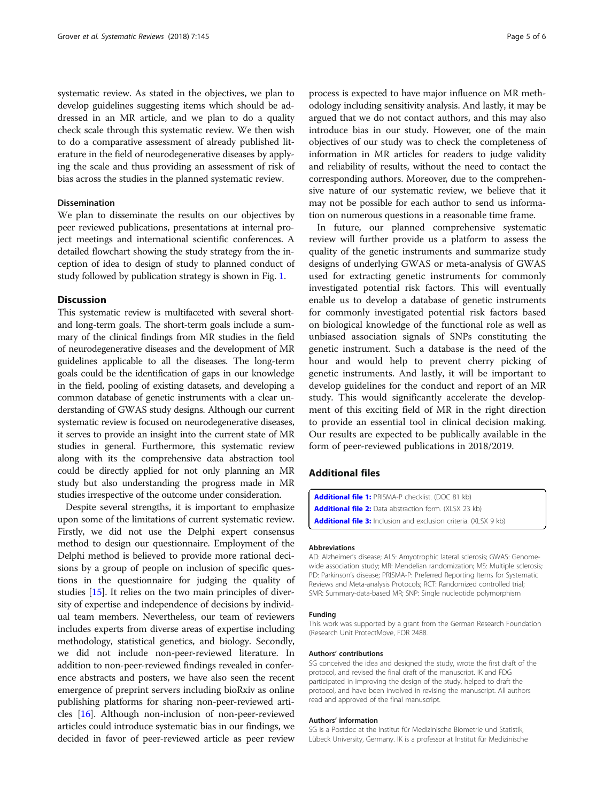<span id="page-4-0"></span>systematic review. As stated in the objectives, we plan to develop guidelines suggesting items which should be addressed in an MR article, and we plan to do a quality check scale through this systematic review. We then wish to do a comparative assessment of already published literature in the field of neurodegenerative diseases by applying the scale and thus providing an assessment of risk of bias across the studies in the planned systematic review.

## Dissemination

We plan to disseminate the results on our objectives by peer reviewed publications, presentations at internal project meetings and international scientific conferences. A detailed flowchart showing the study strategy from the inception of idea to design of study to planned conduct of study followed by publication strategy is shown in Fig. [1](#page-3-0).

## **Discussion**

This systematic review is multifaceted with several shortand long-term goals. The short-term goals include a summary of the clinical findings from MR studies in the field of neurodegenerative diseases and the development of MR guidelines applicable to all the diseases. The long-term goals could be the identification of gaps in our knowledge in the field, pooling of existing datasets, and developing a common database of genetic instruments with a clear understanding of GWAS study designs. Although our current systematic review is focused on neurodegenerative diseases, it serves to provide an insight into the current state of MR studies in general. Furthermore, this systematic review along with its the comprehensive data abstraction tool could be directly applied for not only planning an MR study but also understanding the progress made in MR studies irrespective of the outcome under consideration.

Despite several strengths, it is important to emphasize upon some of the limitations of current systematic review. Firstly, we did not use the Delphi expert consensus method to design our questionnaire. Employment of the Delphi method is believed to provide more rational decisions by a group of people on inclusion of specific questions in the questionnaire for judging the quality of studies [[15](#page-5-0)]. It relies on the two main principles of diversity of expertise and independence of decisions by individual team members. Nevertheless, our team of reviewers includes experts from diverse areas of expertise including methodology, statistical genetics, and biology. Secondly, we did not include non-peer-reviewed literature. In addition to non-peer-reviewed findings revealed in conference abstracts and posters, we have also seen the recent emergence of preprint servers including bioRxiv as online publishing platforms for sharing non-peer-reviewed articles [[16](#page-5-0)]. Although non-inclusion of non-peer-reviewed articles could introduce systematic bias in our findings, we decided in favor of peer-reviewed article as peer review process is expected to have major influence on MR methodology including sensitivity analysis. And lastly, it may be argued that we do not contact authors, and this may also introduce bias in our study. However, one of the main objectives of our study was to check the completeness of information in MR articles for readers to judge validity and reliability of results, without the need to contact the corresponding authors. Moreover, due to the comprehensive nature of our systematic review, we believe that it may not be possible for each author to send us information on numerous questions in a reasonable time frame.

In future, our planned comprehensive systematic review will further provide us a platform to assess the quality of the genetic instruments and summarize study designs of underlying GWAS or meta-analysis of GWAS used for extracting genetic instruments for commonly investigated potential risk factors. This will eventually enable us to develop a database of genetic instruments for commonly investigated potential risk factors based on biological knowledge of the functional role as well as unbiased association signals of SNPs constituting the genetic instrument. Such a database is the need of the hour and would help to prevent cherry picking of genetic instruments. And lastly, it will be important to develop guidelines for the conduct and report of an MR study. This would significantly accelerate the development of this exciting field of MR in the right direction to provide an essential tool in clinical decision making. Our results are expected to be publically available in the form of peer-reviewed publications in 2018/2019.

## Additional files

[Additional file 1:](https://doi.org/10.1186/s13643-018-0809-3) PRISMA-P checklist. (DOC 81 kb) [Additional file 2:](https://doi.org/10.1186/s13643-018-0809-3) Data abstraction form. (XLSX 23 kb) [Additional file 3:](https://doi.org/10.1186/s13643-018-0809-3) Inclusion and exclusion criteria. (XLSX 9 kb)

#### Abbreviations

AD: Alzheimer's disease; ALS: Amyotrophic lateral sclerosis; GWAS: Genomewide association study; MR: Mendelian randomization; MS: Multiple sclerosis; PD: Parkinson's disease; PRISMA-P: Preferred Reporting Items for Systematic Reviews and Meta-analysis Protocols; RCT: Randomized controlled trial; SMR: Summary-data-based MR; SNP: Single nucleotide polymorphism

#### Funding

This work was supported by a grant from the German Research Foundation (Research Unit ProtectMove, FOR 2488.

#### Authors' contributions

SG conceived the idea and designed the study, wrote the first draft of the protocol, and revised the final draft of the manuscript. IK and FDG participated in improving the design of the study, helped to draft the protocol, and have been involved in revising the manuscript. All authors read and approved of the final manuscript.

#### Authors' information

SG is a Postdoc at the Institut für Medizinische Biometrie und Statistik, Lübeck University, Germany. IK is a professor at Institut für Medizinische